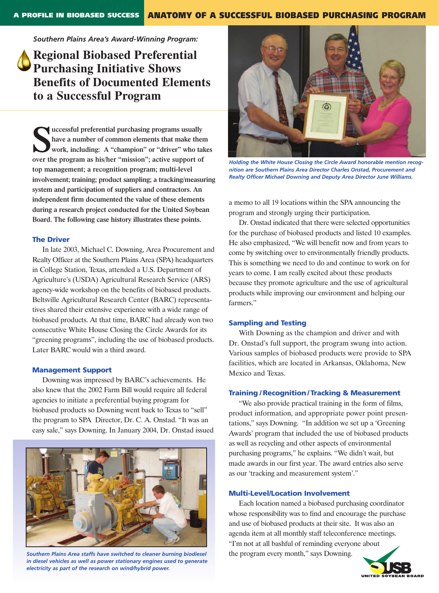*Southern Plains Area's Award-Winning Program:*

**Regional Biobased Preferential Purchasing Initiative Shows Benefits of Documented Elements to a Successful Program** 

**S**<br> **over the program as his/her "mission"; active support of a<br>
over the program as his/her "mission"; active support of uccessful preferential purchasing programs usually have a number of common elements that make them work, including: A "champion" or "driver" who takes top management; a recognition program; multi-level involvement; training; product sampling; a tracking/measuring system and participation of suppliers and contractors. An independent firm documented the value of these elements during a research project conducted for the United Soybean Board. The following case history illustrates these points.** 

## **The Driver**

In late 2003, Michael C. Downing, Area Procurement and Realty Officer at the Southern Plains Area (SPA) headquarters in College Station, Texas, attended a U.S. Department of Agriculture's (USDA) Agricultural Research Service (ARS) agency-wide workshop on the benefits of biobased products. Beltsville Agricultural Research Center (BARC) representatives shared their extensive experience with a wide range of biobased products. At that time, BARC had already won two consecutive White House Closing the Circle Awards for its "greening programs", including the use of biobased products. Later BARC would win a third award.

## **Management Support**

Downing was impressed by BARC's achievements. He also knew that the 2002 Farm Bill would require all federal agencies to initiate a preferential buying program for biobased products so Downing went back to Texas to "sell" the program to SPA Director, Dr. C. A. Onstad. "It was an easy sale," says Downing. In January 2004, Dr. Onstad issued



*Southern Plains Area staffs have switched to cleaner burning biodiesel in diesel vehicles as well as power stationary engines used to generate electricity as part of the research on wind/hybrid power.*



*Holding the White House Closing the Circle Award honorable mention recognition are Southern Plains Area Director Charles Onstad, Procurement and Realty Officer Michael Downing and Deputy Area Director June Williams.* 

a memo to all 19 locations within the SPA announcing the program and strongly urging their participation.

Dr. Onstad indicated that there were selected opportunities for the purchase of biobased products and listed 10 examples. He also emphasized, "We will benefit now and from years to come by switching over to environmentally friendly products. This is something we need to do and continue to work on for years to come. I am really excited about these products because they promote agriculture and the use of agricultural products while improving our environment and helping our farmers."

## **Sampling and Testing**

With Downing as the champion and driver and with Dr. Onstad's full support, the program swung into action. Various samples of biobased products were provide to SPA facilities, which are located in Arkansas, Oklahoma, New Mexico and Texas.

## **Training / Recognition / Tracking & Measurement**

"We also provide practical training in the form of films, product information, and appropriate power point presentations," says Downing. "In addition we set up a 'Greening Awards' program that included the use of biobased products as well as recycling and other aspects of environmental purchasing programs," he explains. "We didn't wait, but made awards in our first year. The award entries also serve as our 'tracking and measurement system'."

## **Multi-Level/Location Involvement**

Each location named a biobased purchasing coordinator whose responsibility was to find and encourage the purchase and use of biobased products at their site. It was also an agenda item at all monthly staff teleconference meetings. "I'm not at all bashful of reminding everyone about the program every month," says Downing.